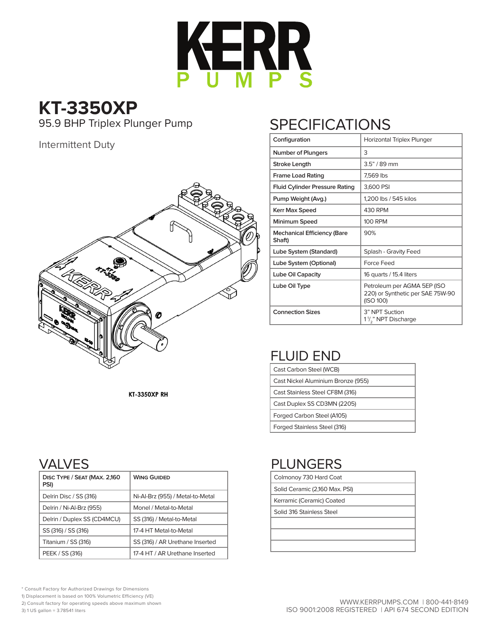

**KT-3350XP** 95.9 BHP Triplex Plunger Pump

#### Intermittent Duty



# **SPECIFICATIONS**

| Configuration                                | Horizontal Triplex Plunger                                                   |
|----------------------------------------------|------------------------------------------------------------------------------|
| Number of Plungers                           | 3                                                                            |
| <b>Stroke Lenath</b>                         | $3.5" / 89$ mm                                                               |
| <b>Frame Load Rating</b>                     | 7,569 lbs                                                                    |
| <b>Fluid Cylinder Pressure Rating</b>        | 3,600 PSI                                                                    |
| Pump Weight (Avg.)                           | 1,200 lbs / 545 kilos                                                        |
| Kerr Max Speed                               | 430 RPM                                                                      |
| Minimum Speed                                | <b>100 RPM</b>                                                               |
| <b>Mechanical Efficiency (Bare</b><br>Shaft) | 90%                                                                          |
| Lube System (Standard)                       | Splash - Gravity Feed                                                        |
| Lube System (Optional)                       | Force Feed                                                                   |
| Lube Oil Capacity                            | 16 quarts / 15.4 liters                                                      |
| Lube Oil Type                                | Petroleum per AGMA 5EP (ISO<br>220) or Synthetic per SAE 75W-90<br>(ISO 100) |
| <b>Connection Sizes</b>                      | 3" NPT Suction<br>1 <sup>1</sup> / <sub>2</sub> " NPT Discharge              |

# FLUID END

| Cast Carbon Steel (WCB)            |
|------------------------------------|
| Cast Nickel Aluminium Bronze (955) |
| Cast Stainless Steel CF8M (316)    |
| Cast Duplex SS CD3MN (2205)        |
| Forged Carbon Steel (A105)         |
| Forged Stainless Steel (316)       |

**KT-3350XP RH** 

## VALVES

| DISC TYPE / SEAT (MAX. 2,160<br>PSI) | <b>WING GUIDED</b>               |
|--------------------------------------|----------------------------------|
| Delrin Disc / SS (316)               | Ni-Al-Brz (955) / Metal-to-Metal |
| Delrin / Ni-Al-Brz (955)             | Monel / Metal-to-Metal           |
| Delrin / Duplex SS (CD4MCU)          | SS (316) / Metal-to-Metal        |
| SS (316) / SS (316)                  | 17-4 HT Metal-to-Metal           |
| Titanium / SS (316)                  | SS (316) / AR Urethane Inserted  |
| PEEK / SS (316)                      | 17-4 HT / AR Urethane Inserted   |

## PLUNGERS

| Colmonoy 730 Hard Coat |
|------------------------|
|                        |

Solid Ceramic (2,160 Max. PSI)

Kerramic (Ceramic) Coated

Solid 316 Stainless Steel

\* Consult Factory for Authorized Drawings for Dimensions

1) Displacement is based on 100% Volumetric Efficiency (VE)

2) Consult factory for operating speeds above maximum shown

3) 1 US gallon = 3.78541 liters